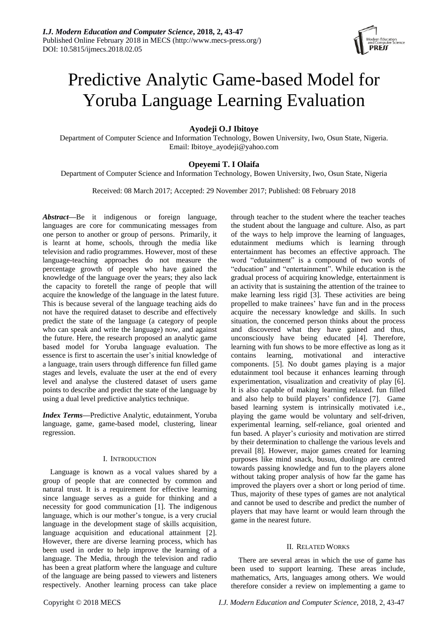

# Predictive Analytic Game-based Model for Yoruba Language Learning Evaluation

# **Ayodeji O.J Ibitoye**

Department of Computer Science and Information Technology, Bowen University, Iwo, Osun State, Nigeria. Email: Ibitoye\_ayodeji@yahoo.com

# **Opeyemi T. I Olaifa**

Department of Computer Science and Information Technology, Bowen University, Iwo, Osun State, Nigeria

Received: 08 March 2017; Accepted: 29 November 2017; Published: 08 February 2018

*Abstract—*Be it indigenous or foreign language, languages are core for communicating messages from one person to another or group of persons. Primarily, it is learnt at home, schools, through the media like television and radio programmes. However, most of these language-teaching approaches do not measure the percentage growth of people who have gained the knowledge of the language over the years; they also lack the capacity to foretell the range of people that will acquire the knowledge of the language in the latest future. This is because several of the language teaching aids do not have the required dataset to describe and effectively predict the state of the language (a category of people who can speak and write the language) now, and against the future. Here, the research proposed an analytic game based model for Yoruba language evaluation. The essence is first to ascertain the user's initial knowledge of a language, train users through difference fun filled game stages and levels, evaluate the user at the end of every level and analyse the clustered dataset of users game points to describe and predict the state of the language by using a dual level predictive analytics technique.

*Index Terms—*Predictive Analytic, edutainment, Yoruba language, game, game-based model, clustering, linear regression.

## I. INTRODUCTION

Language is known as a vocal values shared by a group of people that are connected by common and natural trust. It is a requirement for effective learning since language serves as a guide for thinking and a necessity for good communication [1]. The indigenous language, which is our mother's tongue, is a very crucial language in the development stage of skills acquisition, language acquisition and educational attainment [2]. However, there are diverse learning process, which has been used in order to help improve the learning of a language. The Media, through the television and radio has been a great platform where the language and culture of the language are being passed to viewers and listeners respectively. Another learning process can take place

through teacher to the student where the teacher teaches the student about the language and culture. Also, as part of the ways to help improve the learning of languages, edutainment mediums which is learning through entertainment has becomes an effective approach. The word "edutainment" is a compound of two words of "education" and "entertainment". While education is the gradual process of acquiring knowledge, entertainment is an activity that is sustaining the attention of the trainee to make learning less rigid [3]. These activities are being propelled to make trainees' have fun and in the process acquire the necessary knowledge and skills. In such situation, the concerned person thinks about the process and discovered what they have gained and thus, unconsciously have being educated [4]. Therefore, learning with fun shows to be more effective as long as it contains learning, motivational and interactive components. [5]. No doubt games playing is a major edutainment tool because it enhances learning through experimentation, visualization and creativity of play [6]. It is also capable of making learning relaxed. fun filled and also help to build players' confidence [7]. Game based learning system is intrinsically motivated i.e., playing the game would be voluntary and self-driven, experimental learning, self-reliance, goal oriented and fun based. A player's curiosity and motivation are stirred by their determination to challenge the various levels and prevail [8]. However, major games created for learning purposes like mind snack, busuu, duolingo are centred towards passing knowledge and fun to the players alone without taking proper analysis of how far the game has improved the players over a short or long period of time. Thus, majority of these types of games are not analytical and cannot be used to describe and predict the number of players that may have learnt or would learn through the game in the nearest future.

## II. RELATED WORKS

There are several areas in which the use of game has been used to support learning. These areas include, mathematics, Arts, languages among others. We would therefore consider a review on implementing a game to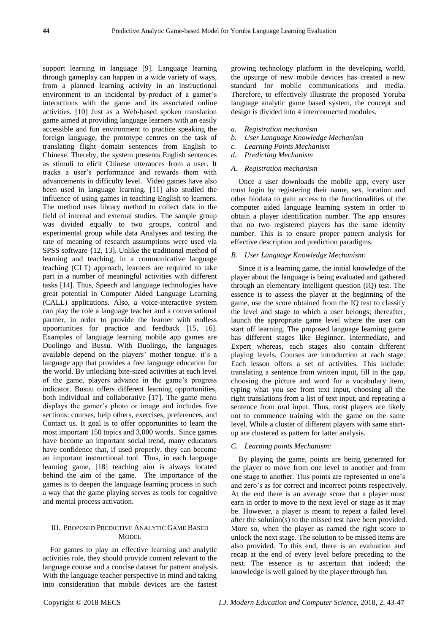support learning in language [9]. Language learning through gameplay can happen in a wide variety of ways, from a planned learning activity in an instructional environment to an incidental by-product of a gamer's interactions with the game and its associated online activities. [10] Just as a Web-based spoken translation game aimed at providing language learners with an easily accessible and fun environment to practice speaking the foreign language, the prototype centres on the task of translating flight domain sentences from English to Chinese. Thereby, the system presents English sentences as stimuli to elicit Chinese utterances from a user. It tracks a user's performance and rewards them with advancements in difficulty level. Video games have also been used in language learning. [11] also studied the influence of using games in teaching English to learners. The method uses library method to collect data in the field of internal and external studies. The sample group was divided equally to two groups, control and experimental group while data Analyses and testing the rate of meaning of research assumptions were used via SPSS software {12, 13]. Unlike the traditional method of learning and teaching, in a communicative language teaching (CLT) approach, learners are required to take part in a number of meaningful activities with different tasks [14]. Thus, Speech and language technologies have great potential in Computer Aided Language Learning (CALL) applications. Also, a voice-interactive system can play the role a language teacher and a conversational partner, in order to provide the learner with endless opportunities for practice and feedback [15, 16]. Examples of language learning mobile app games are Duolingo and Bussu. With Duolingo, the languages available depend on the players' mother tongue. it's a language app that provides a free language education for the world. By unlocking bite-sized activities at each level of the game, players advance in the game's progress indicator. Busuu offers different learning opportunities, both individual and collaborative [17]. The game menu displays the gamer's photo or image and includes five sections: courses, help others, exercises, preferences, and Contact us. It goal is to offer opportunities to learn the most important 150 topics and 3,000 words. Since games have become an important social trend, many educators have confidence that, if used properly, they can become an important instructional tool. Thus, in each language learning game, [18] teaching aim is always located behind the aim of the game. The importance of the games is to deepen the language learning process in such a way that the game playing serves as tools for cognitive and mental process activation.

## III. PROPOSED PREDICTIVE ANALYTIC GAME BASED **MODEL**

For games to play an effective learning and analytic activities role, they should provide content relevant to the language course and a concise dataset for pattern analysis. With the language teacher perspective in mind and taking into consideration that mobile devices are the fastest

growing technology platform in the developing world, the upsurge of new mobile devices has created a new standard for mobile communications and media. Therefore, to effectively illustrate the proposed Yoruba language analytic game based system, the concept and design is divided into 4 interconnected modules.

- *a. Registration mechanism*
- *b. User Language Knowledge Mechanism*
- *c. Learning Points Mechanism*
- *d. Predicting Mechanism*
- *A. Registration mechanism*

Once a user downloads the mobile app, every user must login by registering their name, sex, location and other biodata to gain access to the functionalities of the computer aided language learning system in order to obtain a player identification number. The app ensures that no two registered players has the same identity number. This is to ensure proper pattern analysis for effective description and prediction paradigms.

#### *B. User Language Knowledge Mechanism:*

Since it is a learning game, the initial knowledge of the player about the language is being evaluated and gathered through an elementary intelligent question (IQ) test. The essence is to assess the player at the beginning of the game, use the score obtained from the IQ test to classify the level and stage to which a user belongs; thereafter, launch the appropriate game level where the user can start off learning. The proposed language learning game has different stages like Beginner, Intermediate, and Expert whereas, each stages also contain different playing levels. Courses are introduction at each stage. Each lesson offers a set of activities. This include: translating a sentence from written input, fill in the gap, choosing the picture and word for a vocabulary item, typing what you see from text input, choosing all the right translations from a list of text input, and repeating a sentence from oral input. Thus, most players are likely not to commence training with the game on the same level. While a cluster of different players with same startup are clustered as pattern for latter analysis.

#### *C. Learning points Mechanism:*

By playing the game, points are being generated for the player to move from one level to another and from one stage to another. This points are represented in one's and zero's as for correct and incorrect points respectively. At the end there is an average score that a player must earn in order to move to the next level or stage as it may be. However, a player is meant to repeat a failed level after the solution(s) to the missed test have been provided. More so, when the player as earned the right score to unlock the next stage. The solution to be missed items are also provided. To this end, there is an evaluation and recap at the end of every level before preceding to the next. The essence is to ascertain that indeed; the knowledge is well gained by the player through fun.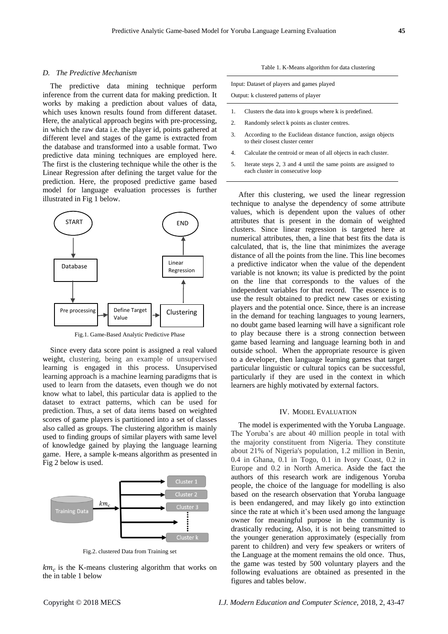#### *D. The Predictive Mechanism*

The predictive data mining technique perform inference from the current data for making prediction. It works by making a prediction about values of data, which uses known results found from different dataset. Here, the analytical approach begins with pre-processing, in which the raw data i.e. the player id, points gathered at different level and stages of the game is extracted from the database and transformed into a usable format. Two predictive data mining techniques are employed here. The first is the clustering technique while the other is the Linear Regression after defining the target value for the prediction. Here, the proposed predictive game based model for language evaluation processes is further illustrated in Fig 1 below.



Fig.1. Game-Based Analytic Predictive Phase

Since every data score point is assigned a real valued weight, clustering, being an example of unsupervised learning is engaged in this process. Unsupervised learning approach is a machine learning paradigms that is used to learn from the datasets, even though we do not know what to label, this particular data is applied to the dataset to extract patterns, which can be used for prediction. Thus, a set of data items based on weighted scores of game players is partitioned into a set of classes also called as groups. The clustering algorithm is mainly used to finding groups of similar players with same level of knowledge gained by playing the language learning game. Here, a sample k-means algorithm as presented in Fig 2 below is used.



Fig.2. clustered Data from Training set

 $km<sub>c</sub>$  is the K-means clustering algorithm that works on the in table 1 below

Table 1. K-Means algorithm for data clustering

Input: Dataset of players and games played

Output: k clustered patterns of player

- 1. Clusters the data into k groups where k is predefined.
- 2. Randomly select k points as cluster centres.
- 3. According to the Euclidean distance function, assign objects to their closest cluster center
- 4. Calculate the centroid or mean of all objects in each cluster.
- 5. Iterate steps 2, 3 and 4 until the same points are assigned to each cluster in consecutive loop

After this clustering, we used the linear regression technique to analyse the dependency of some attribute values, which is dependent upon the values of other attributes that is present in the domain of weighted clusters. Since linear regression is targeted here at numerical attributes, then, a line that best fits the data is calculated, that is, the line that minimizes the average distance of all the points from the line. This line becomes a predictive indicator when the value of the dependent variable is not known; its value is predicted by the point on the line that corresponds to the values of the independent variables for that record. The essence is to use the result obtained to predict new cases or existing players and the potential once. Since, there is an increase in the demand for teaching languages to young learners, no doubt game based learning will have a significant role to play because there is a strong connection between game based learning and language learning both in and outside school. When the appropriate resource is given to a developer, then language learning games that target particular linguistic or cultural topics can be successful, particularly if they are used in the context in which learners are highly motivated by external factors.

#### IV. MODEL EVALUATION

The model is experimented with the Yoruba Language. The Yoruba's are about 40 million people in total with the majority constituent from Nigeria. They constitute about 21% of Nigeria's population, 1.2 million in Benin, 0.4 in Ghana, 0.1 in Togo, 0.1 in Ivory Coast, 0.2 in Europe and 0.2 in North America. Aside the fact the authors of this research work are indigenous Yoruba people, the choice of the language for modelling is also based on the research observation that Yoruba language is been endangered, and may likely go into extinction since the rate at which it's been used among the language owner for meaningful purpose in the community is drastically reducing, Also, it is not being transmitted to the younger generation approximately (especially from parent to children) and very few speakers or writers of the Language at the moment remains the old once. Thus, the game was tested by 500 voluntary players and the following evaluations are obtained as presented in the figures and tables below.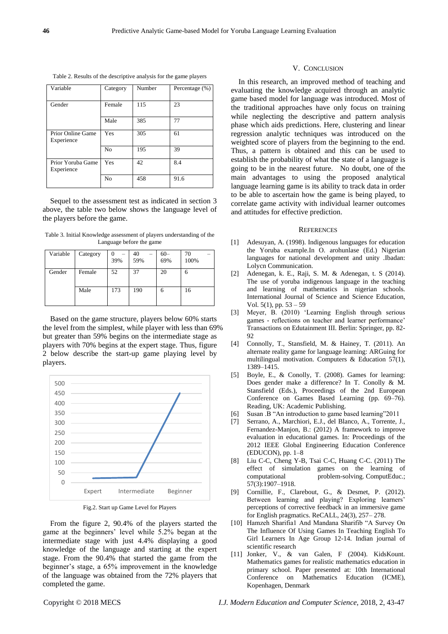| Variable                        | Category       | Number | Percentage (%) |
|---------------------------------|----------------|--------|----------------|
| Gender                          | Female         | 115    | 23             |
|                                 | Male           | 385    | 77             |
| Prior Online Game<br>Experience | Yes            | 305    | 61             |
|                                 | N <sub>0</sub> | 195    | 39             |
| Prior Yoruba Game<br>Experience | Yes            | 42     | 8.4            |
|                                 | No             | 458    | 91.6           |

Table 2. Results of the descriptive analysis for the game players

Sequel to the assessment test as indicated in section 3 above, the table two below shows the language level of the players before the game.

Table 3. Initial Knowledge assessment of players understanding of the Language before the game

| Variable | Category |     | 40  | $60 -$ | 70<br>- |
|----------|----------|-----|-----|--------|---------|
|          |          | 39% | 59% | 69%    | 100%    |
| Gender   | Female   | 52  | 37  | 20     |         |
|          | Male     | 173 | 190 | h      | 16      |

Based on the game structure, players below 60% starts the level from the simplest, while player with less than 69% but greater than 59% begins on the intermediate stage as players with 70% begins at the expert stage. Thus, figure 2 below describe the start-up game playing level by players.



Fig.2. Start up Game Level for Players

From the figure 2, 90.4% of the players started the game at the beginners' level while 5.2% began at the intermediate stage with just 4.4% displaying a good knowledge of the language and starting at the expert stage. From the 90.4% that started the game from the beginner's stage, a 65% improvement in the knowledge of the language was obtained from the 72% players that completed the game.

#### V. CONCLUSION

In this research, an improved method of teaching and evaluating the knowledge acquired through an analytic game based model for language was introduced. Most of the traditional approaches have only focus on training while neglecting the descriptive and pattern analysis phase which aids predictions. Here, clustering and linear regression analytic techniques was introduced on the weighted score of players from the beginning to the end. Thus, a pattern is obtained and this can be used to establish the probability of what the state of a language is going to be in the nearest future. No doubt, one of the main advantages to using the proposed analytical language learning game is its ability to track data in order to be able to ascertain how the game is being played, to correlate game activity with individual learner outcomes and attitudes for effective prediction.

#### **REFERENCES**

- [1] Adesuyan, A. (1998). Indigenous languages for education the Yoruba example.In O. arohunlase (Ed.) Nigerian languages for national development and unity .Ibadan: Lolycn Communication.
- [2] Adenegan, k. E., Raji, S. M. & Adenegan, t. S (2014). The use of yoruba indigenous language in the teaching and learning of mathematics in nigerian schools. International Journal of Science and Science Education, Vol. 5(1), pp. 53 – 59
- [3] Meyer, B. (2010) 'Learning English through serious games - reflections on teacher and learner performance' Transactions on Edutainment III. Berlin: Springer, pp. 82- 92
- [4] Connolly, T., Stansfield, M. & Hainey, T. (2011). An alternate reality game for language learning: ARGuing for multilingual motivation. Computers & Education 57(1), 1389–1415.
- [5] Boyle, E., & Conolly, T. (2008). Games for learning: Does gender make a difference? In T. Conolly & M. Stansfield (Eds.), Proceedings of the 2nd European Conference on Games Based Learning (pp. 69–76). Reading, UK: Academic Publishing.
- [6] Susan .B "An introduction to game based learning"2011
- [7] Serrano, A., Marchiori, E.J., del Blanco, A., Torrente, J., Fernandez-Manjon, B.: (2012) A framework to improve evaluation in educational games. In: Proceedings of the 2012 IEEE Global Engineering Education Conference (EDUCON), pp. 1–8
- [8] Liu C-C, Cheng Y-B, Tsai C-C, Huang C-C. (2011) The effect of simulation games on the learning of computational problem-solving. ComputEduc.; 57(3):1907–1918.
- [9] Cornillie, F., Clarebout, G., & Desmet, P. (2012). Between learning and playing? Exploring learners' perceptions of corrective feedback in an immersive game for English pragmatics. ReCALL, 24(3), 257– 278.
- [10] Hamzeh Sharifia1 And Mandana Sharifib "A Survey On The Influence Of Using Games In Teaching English To Girl Learners In Age Group 12-14. Indian journal of scientific research
- [11] Jonker, V., & van Galen, F (2004). KidsKount. Mathematics games for realistic mathematics education in primary school. Paper presented at: 10th International Conference on Mathematics Education (ICME), Kopenhagen, Denmark